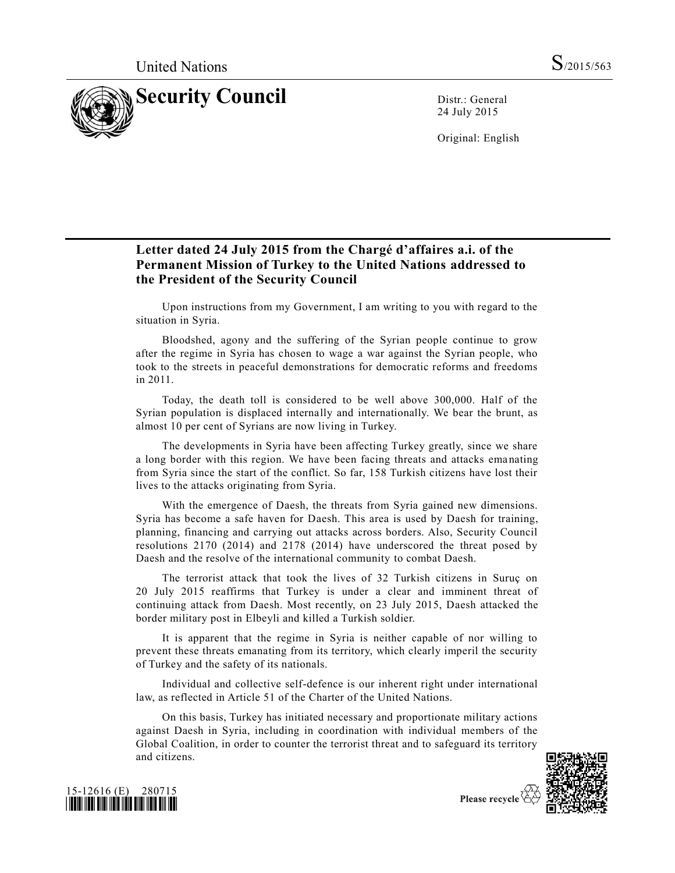

24 July 2015

Original: English

## **Letter dated 24 July 2015 from the Chargé d'affaires a.i. of the Permanent Mission of Turkey to the United Nations addressed to the President of the Security Council**

Upon instructions from my Government, I am writing to you with regard to the situation in Syria.

Bloodshed, agony and the suffering of the Syrian people continue to grow after the regime in Syria has chosen to wage a war against the Syrian people, who took to the streets in peaceful demonstrations for democratic reforms and freedoms in 2011.

Today, the death toll is considered to be well above 300,000. Half of the Syrian population is displaced internally and internationally. We bear the brunt, as almost 10 per cent of Syrians are now living in Turkey.

The developments in Syria have been affecting Turkey greatly, since we share a long border with this region. We have been facing threats and attacks emanating from Syria since the start of the conflict. So far, 158 Turkish citizens have lost their lives to the attacks originating from Syria.

With the emergence of Daesh, the threats from Syria gained new dimensions. Syria has become a safe haven for Daesh. This area is used by Daesh for training, planning, financing and carrying out attacks across borders. Also, Security Council resolutions 2170 (2014) and 2178 (2014) have underscored the threat posed by Daesh and the resolve of the international community to combat Daesh.

The terrorist attack that took the lives of 32 Turkish citizens in Suruç on 20 July 2015 reaffirms that Turkey is under a clear and imminent threat of continuing attack from Daesh. Most recently, on 23 July 2015, Daesh attacked the border military post in Elbeyli and killed a Turkish soldier.

It is apparent that the regime in Syria is neither capable of nor willing to prevent these threats emanating from its territory, which clearly imperil the security of Turkey and the safety of its nationals.

Individual and collective self-defence is our inherent right under international law, as reflected in Article 51 of the Charter of the United Nations.

On this basis, Turkey has initiated necessary and proportionate military actions against Daesh in Syria, including in coordination with individual members of the Global Coalition, in order to counter the terrorist threat and to safeguard its territory and citizens.





Please recycle  $\Diamond$